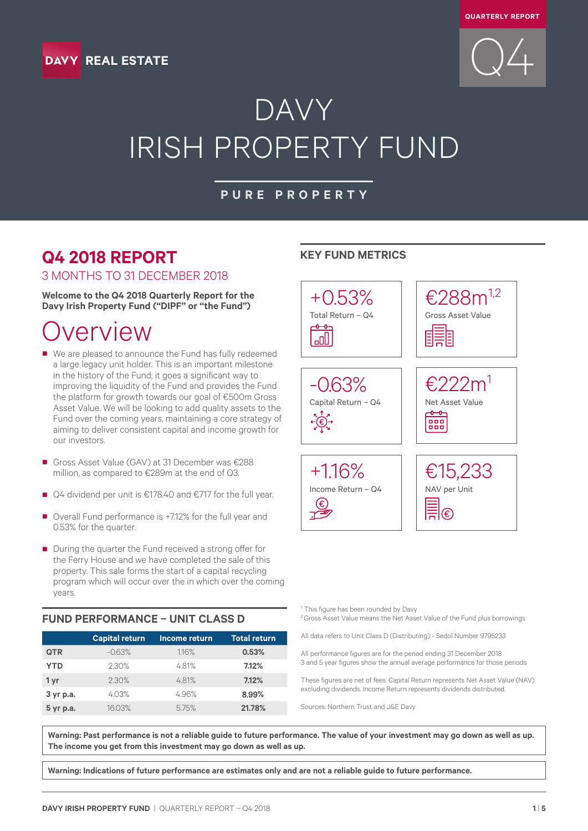





# DAVY IRISH PROPERTY FUND

### **PURE PROPERTY**

### **Q4 2018 REPORT**

3 MONTHS TO 31 DECEMBER 2018

**Welcome to the Q4 2018 Quarterly Report for the Davy Irish Property Fund ("DIPF" or "the Fund")**

### verview

■ We are pleased to announce the Fund has fully redeemed a large legacy unit holder. This is an important milestone in the history of the Fund; it goes a significant way to improving the liquidity of the Fund and provides the Fund the platform for growth towards our goal of €500m Gross Asset Value. We will be looking to add quality assets to the Fund over the coming years, maintaining a core strategy of aiming to deliver consistent capital and income growth for our investors.

■ Gross Asset Value (GAV) at 31 December was €288 million, as compared to €289m at the end of Q3.

- Q4 dividend per unit is €178.40 and €717 for the full year.
- Overall Fund performance is +7.12% for the full year and 0.53% for the quarter.
- During the quarter the Fund received a strong offer for the Ferry House and we have completed the sale of this property. This sale forms the start of a capital recycling program which will occur over the in which over the coming years.

### **FUND PERFORMANCE – UNIT CLASS D**

|            | <b>Capital return</b> | Income return | <b>Total return</b> |
|------------|-----------------------|---------------|---------------------|
| <b>QTR</b> | $-0.63%$              | 1.16%         | 0.53%               |
| <b>YTD</b> | 2.30%                 | 4.81%         | 7.12%               |
| 1 yr       | 2.30%                 | 4.81%         | 7.12%               |
| 3 yr p.a.  | 4.03%                 | 4.96%         | 8.99%               |
| 5 yr p.a.  | 16.03%                | 5.75%         | 21.78%              |

### **KEY FUND METRICS**



<sup>1</sup> This figure has been rounded by Davy

<sup>2</sup> Gross Asset Value means the Net Asset Value of the Fund plus borrowings

All data refers to Unit Class D (Distributing) - Sedol Number 9795233

All performance figures are for the period ending 31 December 2018 3 and 5 year figures show the annual average performance for those periods

These figures are net of fees. Capital Return represents Net Asset Value (NAV) excluding dividends. Income Return represents dividends distributed.

Sources: Northern Trust and J&E Davy

**Warning: Past performance is not a reliable guide to future performance. The value of your investment may go down as well as up. The income you get from this investment may go down as well as up.**

**Warning: Indications of future performance are estimates only and are not a reliable guide to future performance.**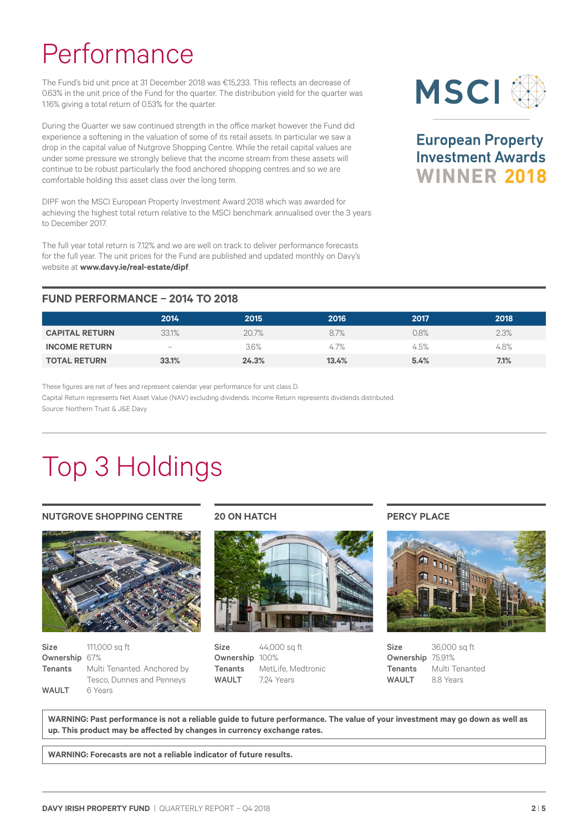# Performance

The Fund's bid unit price at 31 December 2018 was €15,233. This reflects an decrease of 0.63% in the unit price of the Fund for the quarter. The distribution yield for the quarter was 1.16% giving a total return of 0.53% for the quarter.

During the Quarter we saw continued strength in the office market however the Fund did experience a softening in the valuation of some of its retail assets. In particular we saw a drop in the capital value of Nutgrove Shopping Centre. While the retail capital values are under some pressure we strongly believe that the income stream from these assets will continue to be robust particularly the food anchored shopping centres and so we are comfortable holding this asset class over the long term.

DIPF won the MSCI European Property Investment Award 2018 which was awarded for achieving the highest total return relative to the MSCI benchmark annualised over the 3 years to December 2017.

The full year total return is 7.12% and we are well on track to deliver performance forecasts for the full year. The unit prices for the Fund are published and updated monthly on Davy's website at **www.davy.ie/real-estate/dipf**.

### **FUND PERFORMANCE – 2014 TO 2018**

|                       | 2014                     | 2015  | 2016  | 2017 | 2018 |
|-----------------------|--------------------------|-------|-------|------|------|
| <b>CAPITAL RETURN</b> | 33.1%                    | 20.7% | 8.7%  | 0.8% | 2.3% |
| <b>INCOME RETURN</b>  | $\overline{\phantom{0}}$ | 3.6%  | 4.7%  | 4.5% | 4.8% |
| <b>TOTAL RETURN</b>   | 33.1%                    | 24.3% | 13.4% | 5.4% | 7.1% |

These figures are net of fees and represent calendar year performance for unit class D. Capital Return represents Net Asset Value (NAV) excluding dividends. Income Return represents dividends distributed. Source: Northern Trust & J&E Davy

# Top 3 Holdings

#### **NUTGROVE SHOPPING CENTRE**



| Size          | 111,000 sq ft                              |
|---------------|--------------------------------------------|
| Ownership 67% |                                            |
|               | <b>Tenants</b> Multi Tenanted. Anchored by |
|               | Tesco, Dunnes and Penneys                  |
| <b>WAULT</b>  | 6 Years                                    |

#### **20 ON HATCH**



 $Size$   $44,000$  sq ft Ownership 100% Tenants MetLife, Medtronic WAULT 7.24 Years

#### **PERCY PLACE**



**Size** 36,000 sq ft Ownership 75.91% Tenants Multi Tenanted WAULT 8.8 Years

**WARNING: Past performance is not a reliable guide to future performance. The value of your investment may go down as well as up. This product may be affected by changes in currency exchange rates.**

**WARNING: Forecasts are not a reliable indicator of future results.**



**European Property Investment Awards WINNER 2018**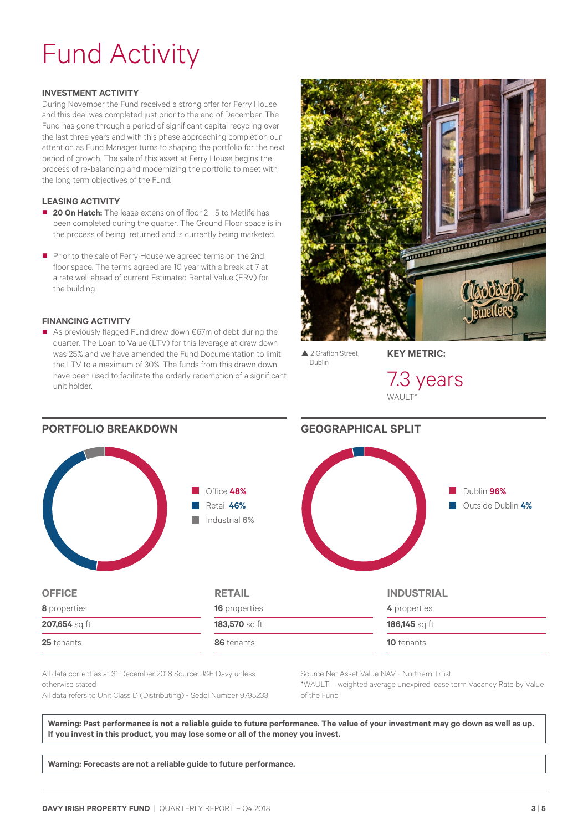# Fund Activity

#### **INVESTMENT ACTIVITY**

During November the Fund received a strong offer for Ferry House and this deal was completed just prior to the end of December. The Fund has gone through a period of significant capital recycling over the last three years and with this phase approaching completion our attention as Fund Manager turns to shaping the portfolio for the next period of growth. The sale of this asset at Ferry House begins the process of re-balancing and modernizing the portfolio to meet with the long term objectives of the Fund.

#### **LEASING ACTIVITY**

- **20 On Hatch:** The lease extension of floor 2 5 to Metlife has been completed during the quarter. The Ground Floor space is in the process of being returned and is currently being marketed.
- Prior to the sale of Ferry House we agreed terms on the 2nd floor space. The terms agreed are 10 year with a break at 7 at a rate well ahead of current Estimated Rental Value (ERV) for the building.

#### **FINANCING ACTIVITY**

■ As previously flagged Fund drew down €67m of debt during the quarter. The Loan to Value (LTV) for this leverage at draw down was 25% and we have amended the Fund Documentation to limit the LTV to a maximum of 30%. The funds from this drawn down have been used to facilitate the orderly redemption of a significant unit holder.



▲ 2 Grafton Street Dublin

**KEY METRIC:**

7.3 years  $W\Delta H$ 



All data correct as at 31 December 2018 Source: J&E Davy unless otherwise stated All data refers to Unit Class D (Distributing) - Sedol Number 9795233 Source Net Asset Value NAV - Northern Trust \*WAULT = weighted average unexpired lease term Vacancy Rate by Value of the Fund

Warning: Past performance is not a reliable guide to future performance. The value of your investment may go down as well as up. **If you invest in this product, you may lose some or all of the money you invest.**

**Warning: Forecasts are not a reliable guide to future performance.**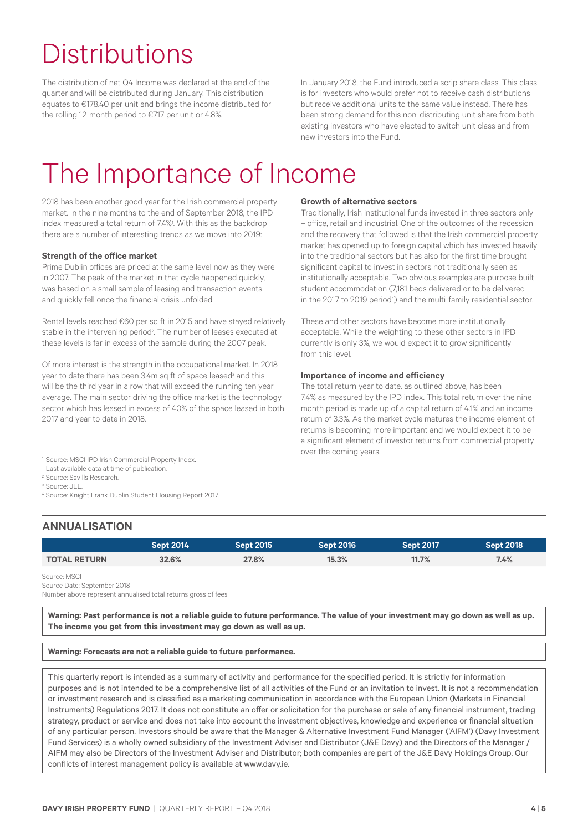# **Distributions**

The distribution of net Q4 Income was declared at the end of the quarter and will be distributed during January. This distribution equates to €178.40 per unit and brings the income distributed for the rolling 12-month period to €717 per unit or 4.8%.

In January 2018, the Fund introduced a scrip share class. This class is for investors who would prefer not to receive cash distributions but receive additional units to the same value instead. There has been strong demand for this non-distributing unit share from both existing investors who have elected to switch unit class and from new investors into the Fund.

## The Importance of Income

2018 has been another good year for the Irish commercial property market. In the nine months to the end of September 2018, the IPD index measured a total return of 7.4%! With this as the backdrop there are a number of interesting trends as we move into 2019:

#### **Strength of the office market**

Prime Dublin offices are priced at the same level now as they were in 2007. The peak of the market in that cycle happened quickly, was based on a small sample of leasing and transaction events and quickly fell once the financial crisis unfolded.

Rental levels reached €60 per sq ft in 2015 and have stayed relatively stable in the intervening period<sup>2</sup>. The number of leases executed at these levels is far in excess of the sample during the 2007 peak.

Of more interest is the strength in the occupational market. In 2018 year to date there has been 3.4m sq ft of space leased<sup>3</sup> and this will be the third year in a row that will exceed the running ten year average. The main sector driving the office market is the technology sector which has leased in excess of 40% of the space leased in both 2017 and year to date in 2018.

#### **Growth of alternative sectors**

Traditionally, Irish institutional funds invested in three sectors only – office, retail and industrial. One of the outcomes of the recession and the recovery that followed is that the Irish commercial property market has opened up to foreign capital which has invested heavily into the traditional sectors but has also for the first time brought significant capital to invest in sectors not traditionally seen as institutionally acceptable. Two obvious examples are purpose built student accommodation (7,181 beds delivered or to be delivered in the 2017 to 2019 period<sup>4</sup>) and the multi-family residential sector.

These and other sectors have become more institutionally acceptable. While the weighting to these other sectors in IPD currently is only 3%, we would expect it to grow significantly from this level.

#### **Importance of income and efficiency**

The total return year to date, as outlined above, has been 7.4% as measured by the IPD index. This total return over the nine month period is made up of a capital return of 4.1% and an income return of 3.3%. As the market cycle matures the income element of returns is becoming more important and we would expect it to be a significant element of investor returns from commercial property over the coming years.

<sup>1</sup> Source: MSCI IPD Irish Commercial Property Index.

Last available data at time of publication.

<sup>2</sup> Source: Savills Research.

<sup>3</sup> Source: JLL.

<sup>4</sup> Source: Knight Frank Dublin Student Housing Report 2017.

### **ANNUALISATION**

|                     | <b>Sept 2014</b> | Sept 2015 | Sept 2016 <b>1</b> | <b>Sept 2017</b> | <b>Sept 2018</b> |
|---------------------|------------------|-----------|--------------------|------------------|------------------|
| <b>TOTAL RETURN</b> | 32.6%            | 27.8%     | 15.3%              | 11.7%            | 7.4%             |

Source: MSCI

Source Date: September 2018

Number above represent annualised total returns gross of fees

Warning: Past performance is not a reliable guide to future performance. The value of your investment may go down as well as up. **The income you get from this investment may go down as well as up.**

#### **Warning: Forecasts are not a reliable guide to future performance.**

This quarterly report is intended as a summary of activity and performance for the specified period. It is strictly for information purposes and is not intended to be a comprehensive list of all activities of the Fund or an invitation to invest. It is not a recommendation or investment research and is classified as a marketing communication in accordance with the European Union (Markets in Financial Instruments) Regulations 2017. It does not constitute an offer or solicitation for the purchase or sale of any financial instrument, trading strategy, product or service and does not take into account the investment objectives, knowledge and experience or financial situation of any particular person. Investors should be aware that the Manager & Alternative Investment Fund Manager ('AIFM') (Davy Investment Fund Services) is a wholly owned subsidiary of the Investment Adviser and Distributor (J&E Davy) and the Directors of the Manager / AIFM may also be Directors of the Investment Adviser and Distributor; both companies are part of the J&E Davy Holdings Group. Our conflicts of interest management policy is available at www.davy.ie.